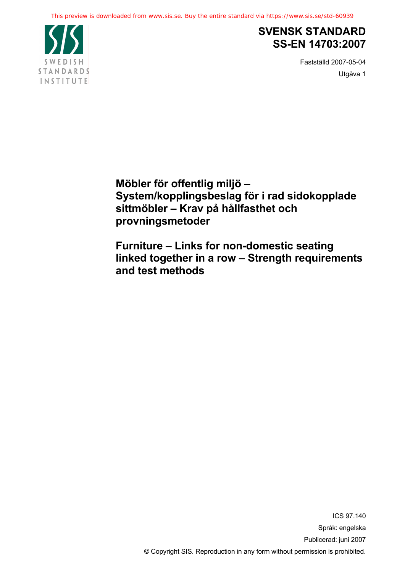

## **SVENSK STANDARD SS-EN 14703:2007**

Fastställd 2007-05-04 Utgåva 1

**Möbler för offentlig miljö – System/kopplingsbeslag för i rad sidokopplade sittmöbler – Krav på hållfasthet och provningsmetoder**

**Furniture – Links for non-domestic seating linked together in a row – Strength requirements and test methods**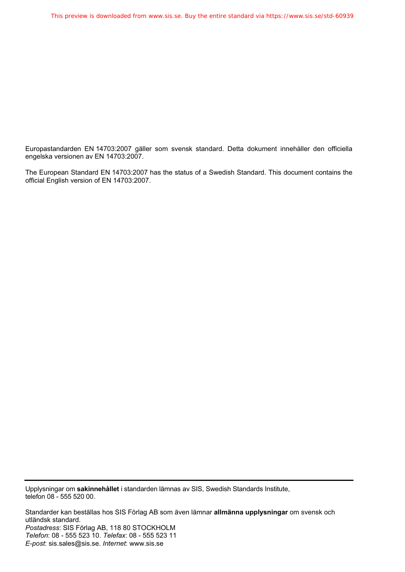Europastandarden EN 14703:2007 gäller som svensk standard. Detta dokument innehåller den officiella engelska versionen av EN 14703:2007.

The European Standard EN 14703:2007 has the status of a Swedish Standard. This document contains the official English version of EN 14703:2007.

Upplysningar om **sakinnehållet** i standarden lämnas av SIS, Swedish Standards Institute, telefon 08 - 555 520 00.

Standarder kan beställas hos SIS Förlag AB som även lämnar **allmänna upplysningar** om svensk och utländsk standard. *Postadress*: SIS Förlag AB, 118 80 STOCKHOLM *Telefon*: 08 - 555 523 10. *Telefax*: 08 - 555 523 11 *E-post*: sis.sales@sis.se. *Internet*: www.sis.se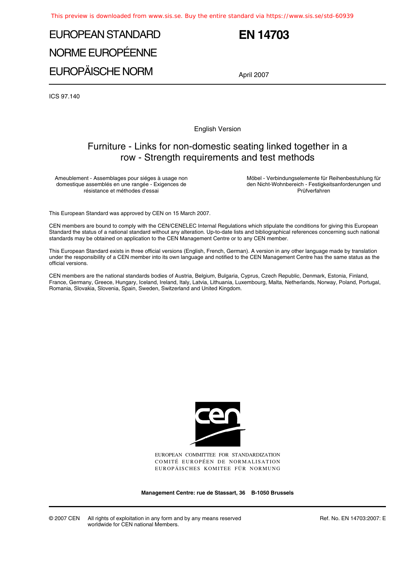# EUROPEAN STANDARD NORME EUROPÉENNE EUROPÄISCHE NORM

## **EN 14703**

April 2007

ICS 97.140

English Version

## Furniture - Links for non-domestic seating linked together in a row - Strength requirements and test methods

Ameublement - Assemblages pour siéges à usage non domestique assemblés en une rangée - Exigences de résistance et méthodes d'essai

Möbel - Verbindungselemente für Reihenbestuhlung für den Nicht-Wohnbereich - Festigkeitsanforderungen und Prüfverfahren

This European Standard was approved by CEN on 15 March 2007.

CEN members are bound to comply with the CEN/CENELEC Internal Regulations which stipulate the conditions for giving this European Standard the status of a national standard without any alteration. Up-to-date lists and bibliographical references concerning such national standards may be obtained on application to the CEN Management Centre or to any CEN member.

This European Standard exists in three official versions (English, French, German). A version in any other language made by translation under the responsibility of a CEN member into its own language and notified to the CEN Management Centre has the same status as the official versions.

CEN members are the national standards bodies of Austria, Belgium, Bulgaria, Cyprus, Czech Republic, Denmark, Estonia, Finland, France, Germany, Greece, Hungary, Iceland, Ireland, Italy, Latvia, Lithuania, Luxembourg, Malta, Netherlands, Norway, Poland, Portugal, Romania, Slovakia, Slovenia, Spain, Sweden, Switzerland and United Kingdom.



EUROPEAN COMMITTEE FOR STANDARDIZATION COMITÉ EUROPÉEN DE NORMALISATION EUROPÄISCHES KOMITEE FÜR NORMUNG

**Management Centre: rue de Stassart, 36 B-1050 Brussels**

© 2007 CEN All rights of exploitation in any form and by any means reserved worldwide for CEN national Members.

Ref. No. EN 14703:2007: E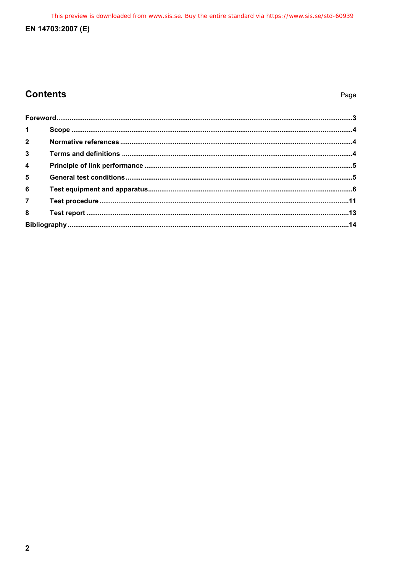This preview is downloaded from www.sis.se. Buy the entire standard via https://www.sis.se/std-60939

## EN 14703:2007 (E)

## **Contents**

| 1 <sup>1</sup>          |  |  |  |
|-------------------------|--|--|--|
| $\overline{2}$          |  |  |  |
| 3 <sup>1</sup>          |  |  |  |
| $\overline{\mathbf{4}}$ |  |  |  |
| 5 <sup>5</sup>          |  |  |  |
| $6\phantom{a}$          |  |  |  |
| $\overline{7}$          |  |  |  |
| 8 <sup>1</sup>          |  |  |  |
|                         |  |  |  |
|                         |  |  |  |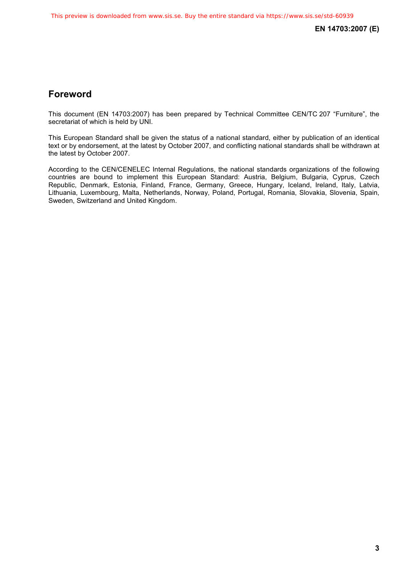## **Foreword**

This document (EN 14703:2007) has been prepared by Technical Committee CEN/TC 207 "Furniture", the secretariat of which is held by UNI.

This European Standard shall be given the status of a national standard, either by publication of an identical text or by endorsement, at the latest by October 2007, and conflicting national standards shall be withdrawn at the latest by October 2007.

According to the CEN/CENELEC Internal Regulations, the national standards organizations of the following countries are bound to implement this European Standard: Austria, Belgium, Bulgaria, Cyprus, Czech Republic, Denmark, Estonia, Finland, France, Germany, Greece, Hungary, Iceland, Ireland, Italy, Latvia, Lithuania, Luxembourg, Malta, Netherlands, Norway, Poland, Portugal, Romania, Slovakia, Slovenia, Spain, Sweden, Switzerland and United Kingdom.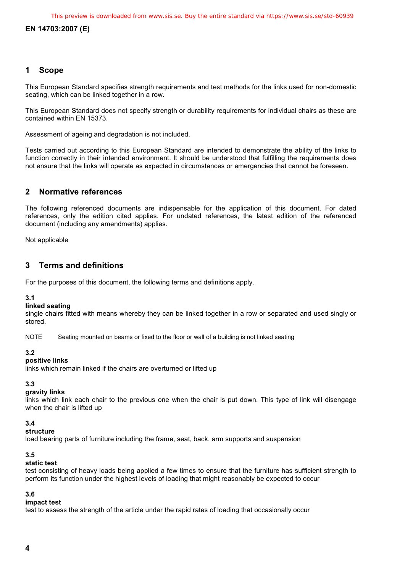### **1 Scope**

This European Standard specifies strength requirements and test methods for the links used for non-domestic seating, which can be linked together in a row.

This European Standard does not specify strength or durability requirements for individual chairs as these are contained within EN 15373.

Assessment of ageing and degradation is not included.

Tests carried out according to this European Standard are intended to demonstrate the ability of the links to function correctly in their intended environment. It should be understood that fulfilling the requirements does not ensure that the links will operate as expected in circumstances or emergencies that cannot be foreseen.

### **2 Normative references**

The following referenced documents are indispensable for the application of this document. For dated references, only the edition cited applies. For undated references, the latest edition of the referenced document (including any amendments) applies.

Not applicable

## **3 Terms and definitions**

For the purposes of this document, the following terms and definitions apply.

#### **3.1**

#### **linked seating**

single chairs fitted with means whereby they can be linked together in a row or separated and used singly or stored.

NOTE Seating mounted on beams or fixed to the floor or wall of a building is not linked seating

#### **3.2**

#### **positive links**

links which remain linked if the chairs are overturned or lifted up

### **3.3**

#### **gravity links**

links which link each chair to the previous one when the chair is put down. This type of link will disengage when the chair is lifted up

#### **3.4**

#### **structure**

load bearing parts of furniture including the frame, seat, back, arm supports and suspension

#### **3.5**

#### **static test**

test consisting of heavy loads being applied a few times to ensure that the furniture has sufficient strength to perform its function under the highest levels of loading that might reasonably be expected to occur

#### **3.6**

#### **impact test**

test to assess the strength of the article under the rapid rates of loading that occasionally occur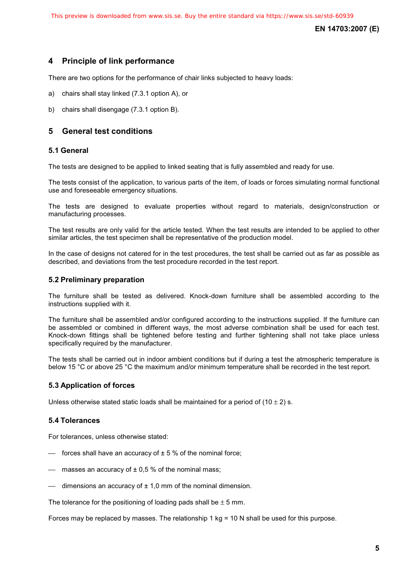## **4 Principle of link performance**

There are two options for the performance of chair links subjected to heavy loads:

- a) chairs shall stay linked (7.3.1 option A), or
- b) chairs shall disengage (7.3.1 option B).

## **5 General test conditions**

#### **5.1 General**

The tests are designed to be applied to linked seating that is fully assembled and ready for use.

The tests consist of the application, to various parts of the item, of loads or forces simulating normal functional use and foreseeable emergency situations.

The tests are designed to evaluate properties without regard to materials, design/construction or manufacturing processes.

The test results are only valid for the article tested. When the test results are intended to be applied to other similar articles, the test specimen shall be representative of the production model.

In the case of designs not catered for in the test procedures, the test shall be carried out as far as possible as described, and deviations from the test procedure recorded in the test report.

#### **5.2 Preliminary preparation**

The furniture shall be tested as delivered. Knock-down furniture shall be assembled according to the instructions supplied with it.

The furniture shall be assembled and/or configured according to the instructions supplied. If the furniture can be assembled or combined in different ways, the most adverse combination shall be used for each test. Knock-down fittings shall be tightened before testing and further tightening shall not take place unless specifically required by the manufacturer.

The tests shall be carried out in indoor ambient conditions but if during a test the atmospheric temperature is below 15 °C or above 25 °C the maximum and/or minimum temperature shall be recorded in the test report.

#### **5.3 Application of forces**

Unless otherwise stated static loads shall be maintained for a period of  $(10 \pm 2)$  s.

#### **5.4 Tolerances**

For tolerances, unless otherwise stated:

- $\equiv$  forces shall have an accuracy of  $\pm$  5 % of the nominal force;
- $-$  masses an accuracy of  $\pm$  0,5 % of the nominal mass;
- $\frac{1}{2}$  dimensions an accuracy of  $\pm$  1,0 mm of the nominal dimension.

The tolerance for the positioning of loading pads shall be  $\pm$  5 mm.

Forces may be replaced by masses. The relationship 1 kg = 10 N shall be used for this purpose.